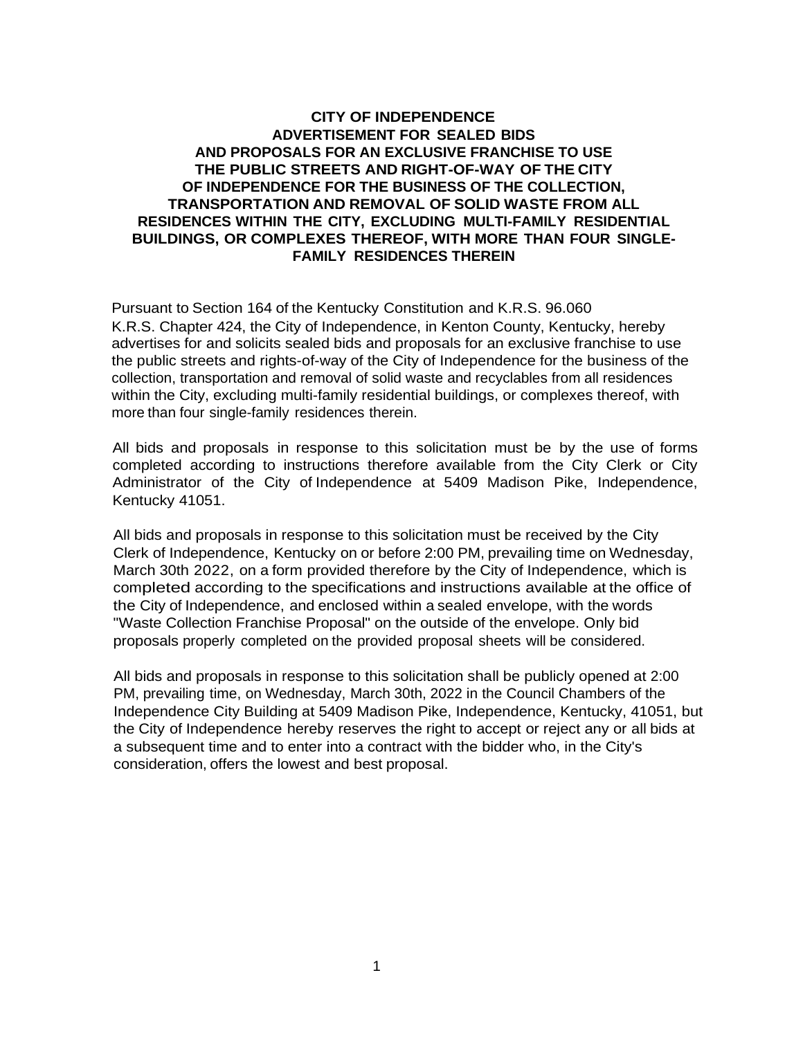### **CITY OF INDEPENDENCE ADVERTISEMENT FOR SEALED BIDS AND PROPOSALS FOR AN EXCLUSIVE FRANCHISE TO USE THE PUBLIC STREETS AND RIGHT-OF-WAY OF THE CITY OF INDEPENDENCE FOR THE BUSINESS OF THE COLLECTION, TRANSPORTATION AND REMOVAL OF SOLID WASTE FROM ALL RESIDENCES WITHIN THE CITY, EXCLUDING MULTI-FAMILY RESIDENTIAL BUILDINGS, OR COMPLEXES THEREOF, WITH MORE THAN FOUR SINGLE-FAMILY RESIDENCES THEREIN**

Pursuant to Section 164 of the Kentucky Constitution and K.R.S. 96.060 K.R.S. Chapter 424, the City of Independence, in Kenton County, Kentucky, hereby advertises for and solicits sealed bids and proposals for an exclusive franchise to use the public streets and rights-of-way of the City of Independence for the business of the collection, transportation and removal of solid waste and recyclables from all residences within the City, excluding multi-family residential buildings, or complexes thereof, with more than four single-family residences therein.

All bids and proposals in response to this solicitation must be by the use of forms completed according to instructions therefore available from the City Clerk or City Administrator of the City of Independence at 5409 Madison Pike, Independence, Kentucky 41051.

All bids and proposals in response to this solicitation must be received by the City Clerk of Independence, Kentucky on or before 2:00 PM, prevailing time on Wednesday, March 30th 2022, on a form provided therefore by the City of Independence, which is completed according to the specifications and instructions available at the office of the City of Independence, and enclosed within a sealed envelope, with the words "Waste Collection Franchise Proposal" on the outside of the envelope. Only bid proposals properly completed on the provided proposal sheets will be considered.

All bids and proposals in response to this solicitation shall be publicly opened at 2:00 PM, prevailing time, on Wednesday, March 30th, 2022 in the Council Chambers of the Independence City Building at 5409 Madison Pike, Independence, Kentucky, 41051, but the City of Independence hereby reserves the right to accept or reject any or all bids at a subsequent time and to enter into a contract with the bidder who, in the City's consideration, offers the lowest and best proposal.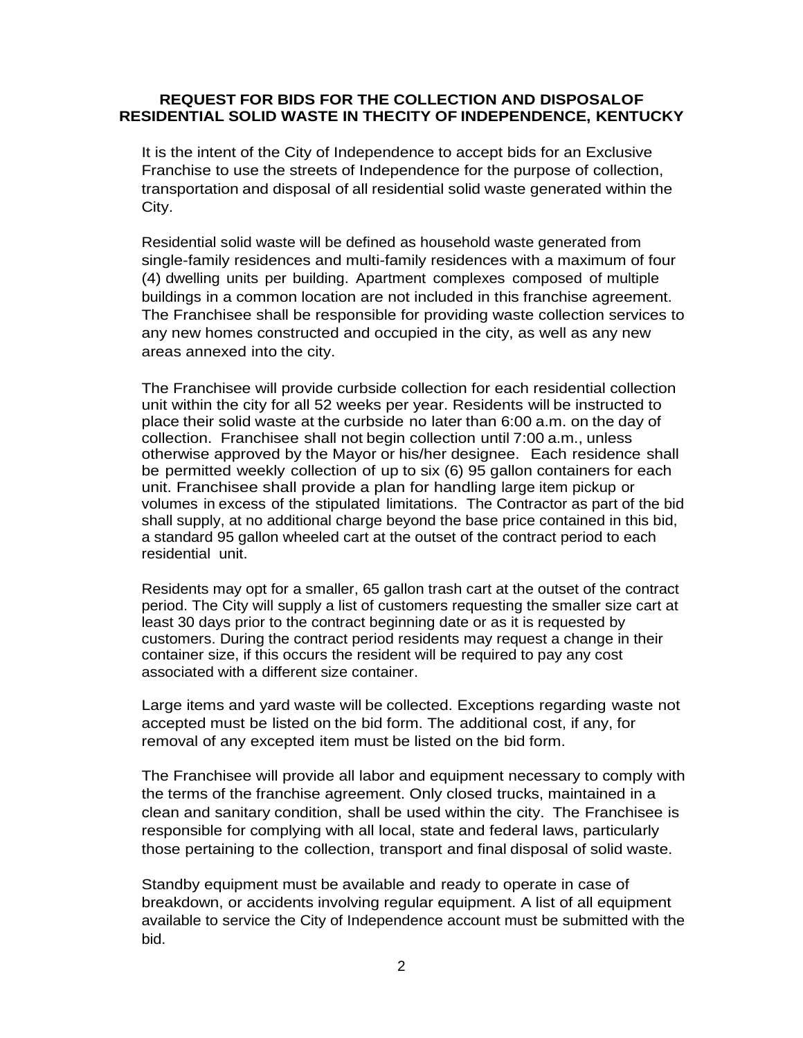#### **REQUEST FOR BIDS FOR THE COLLECTION AND DISPOSALOF RESIDENTIAL SOLID WASTE IN THECITY OF INDEPENDENCE, KENTUCKY**

It is the intent of the City of Independence to accept bids for an Exclusive Franchise to use the streets of Independence for the purpose of collection, transportation and disposal of all residential solid waste generated within the City.

Residential solid waste will be defined as household waste generated from single-family residences and multi-family residences with a maximum of four (4) dwelling units per building. Apartment complexes composed of multiple buildings in a common location are not included in this franchise agreement. The Franchisee shall be responsible for providing waste collection services to any new homes constructed and occupied in the city, as well as any new areas annexed into the city.

The Franchisee will provide curbside collection for each residential collection unit within the city for all 52 weeks per year. Residents will be instructed to place their solid waste at the curbside no later than 6:00 a.m. on the day of collection. Franchisee shall not begin collection until 7:00 a.m., unless otherwise approved by the Mayor or his/her designee. Each residence shall be permitted weekly collection of up to six (6) 95 gallon containers for each unit. Franchisee shall provide a plan for handling large item pickup or volumes in excess of the stipulated limitations. The Contractor as part of the bid shall supply, at no additional charge beyond the base price contained in this bid, a standard 95 gallon wheeled cart at the outset of the contract period to each residential unit.

Residents may opt for a smaller, 65 gallon trash cart at the outset of the contract period. The City will supply a list of customers requesting the smaller size cart at least 30 days prior to the contract beginning date or as it is requested by customers. During the contract period residents may request a change in their container size, if this occurs the resident will be required to pay any cost associated with a different size container.

Large items and yard waste will be collected. Exceptions regarding waste not accepted must be listed on the bid form. The additional cost, if any, for removal of any excepted item must be listed on the bid form.

The Franchisee will provide all labor and equipment necessary to comply with the terms of the franchise agreement. Only closed trucks, maintained in a clean and sanitary condition, shall be used within the city. The Franchisee is responsible for complying with all local, state and federal laws, particularly those pertaining to the collection, transport and final disposal of solid waste.

Standby equipment must be available and ready to operate in case of breakdown, or accidents involving regular equipment. A list of all equipment available to service the City of Independence account must be submitted with the bid.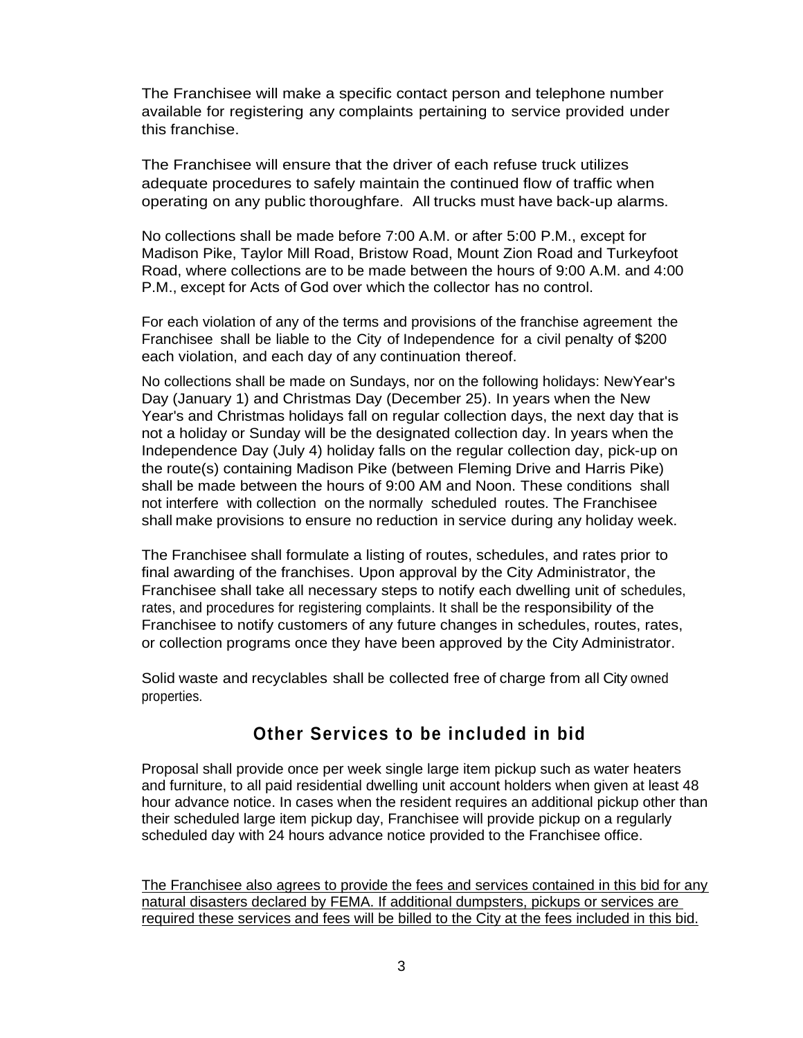The Franchisee will make a specific contact person and telephone number available for registering any complaints pertaining to service provided under this franchise.

The Franchisee will ensure that the driver of each refuse truck utilizes adequate procedures to safely maintain the continued flow of traffic when operating on any public thoroughfare. All trucks must have back-up alarms.

No collections shall be made before 7:00 A.M. or after 5:00 P.M., except for Madison Pike, Taylor Mill Road, Bristow Road, Mount Zion Road and Turkeyfoot Road, where collections are to be made between the hours of 9:00 A.M. and 4:00 P.M., except for Acts of God over which the collector has no control.

For each violation of any of the terms and provisions of the franchise agreement the Franchisee shall be liable to the City of Independence for a civil penalty of \$200 each violation, and each day of any continuation thereof.

No collections shall be made on Sundays, nor on the following holidays: NewYear's Day (January 1) and Christmas Day (December 25). In years when the New Year's and Christmas holidays fall on regular collection days, the next day that is not a holiday or Sunday will be the designated collection day. ln years when the Independence Day (July 4) holiday falls on the regular collection day, pick-up on the route(s) containing Madison Pike (between Fleming Drive and Harris Pike) shall be made between the hours of 9:00 AM and Noon. These conditions shall not interfere with collection on the normally scheduled routes. The Franchisee shall make provisions to ensure no reduction in service during any holiday week.

The Franchisee shall formulate a listing of routes, schedules, and rates prior to final awarding of the franchises. Upon approval by the City Administrator, the Franchisee shall take all necessary steps to notify each dwelling unit of schedules, rates, and procedures for registering complaints. It shall be the responsibility of the Franchisee to notify customers of any future changes in schedules, routes, rates, or collection programs once they have been approved by the City Administrator.

Solid waste and recyclables shall be collected free of charge from all City owned properties.

# **Other Services to be included in bid**

Proposal shall provide once per week single large item pickup such as water heaters and furniture, to all paid residential dwelling unit account holders when given at least 48 hour advance notice. In cases when the resident requires an additional pickup other than their scheduled large item pickup day, Franchisee will provide pickup on a regularly scheduled day with 24 hours advance notice provided to the Franchisee office.

The Franchisee also agrees to provide the fees and services contained in this bid for any natural disasters declared by FEMA. If additional dumpsters, pickups or services are required these services and fees will be billed to the City at the fees included in this bid.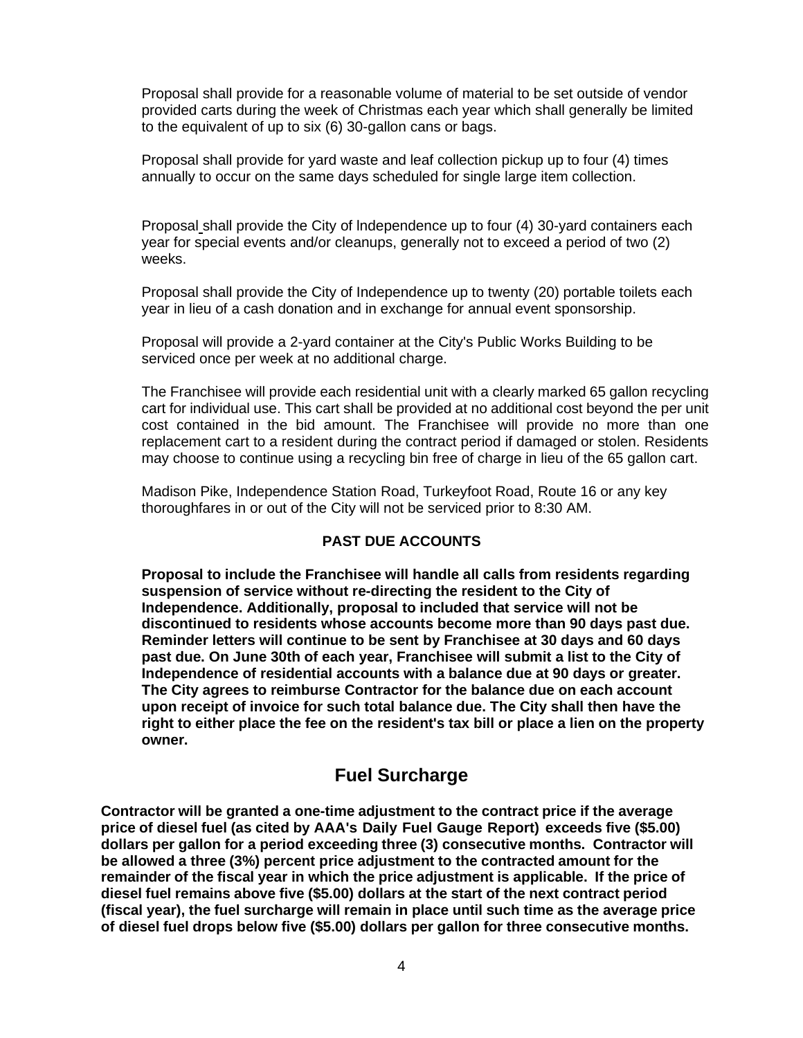Proposal shall provide for a reasonable volume of material to be set outside of vendor provided carts during the week of Christmas each year which shall generally be limited to the equivalent of up to six (6) 30-gallon cans or bags.

Proposal shall provide for yard waste and leaf collection pickup up to four (4) times annually to occur on the same days scheduled for single large item collection.

Proposal shall provide the City of lndependence up to four (4) 30-yard containers each year for special events and/or cleanups, generally not to exceed a period of two (2) weeks.

Proposal shall provide the City of Independence up to twenty (20) portable toilets each year in lieu of a cash donation and in exchange for annual event sponsorship.

Proposal will provide a 2-yard container at the City's Public Works Building to be serviced once per week at no additional charge.

The Franchisee will provide each residential unit with a clearly marked 65 gallon recycling cart for individual use. This cart shall be provided at no additional cost beyond the per unit cost contained in the bid amount. The Franchisee will provide no more than one replacement cart to a resident during the contract period if damaged or stolen. Residents may choose to continue using a recycling bin free of charge in lieu of the 65 gallon cart.

Madison Pike, Independence Station Road, Turkeyfoot Road, Route 16 or any key thoroughfares in or out of the City will not be serviced prior to 8:30 AM.

### **PAST DUE ACCOUNTS**

**Proposal to include the Franchisee will handle all calls from residents regarding suspension of service without re-directing the resident to the City of Independence. Additionally, proposal to included that service will not be discontinued to residents whose accounts become more than 90 days past due. Reminder letters will continue to be sent by Franchisee at 30 days and 60 days past due. On June 30th of each year, Franchisee will submit a list to the City of Independence of residential accounts with a balance due at 90 days or greater. The City agrees to reimburse Contractor for the balance due on each account upon receipt of invoice for such total balance due. The City shall then have the right to either place the fee on the resident's tax bill or place a lien on the property owner.**

## **Fuel Surcharge**

**Contractor will be granted a one-time adjustment to the contract price if the average price of diesel fuel (as cited by AAA's Daily Fuel Gauge Report) exceeds five (\$5.00) dollars per gallon for a period exceeding three (3) consecutive months. Contractor will be allowed a three (3%) percent price adjustment to the contracted amount for the remainder of the fiscal year in which the price adjustment is applicable. If the price of diesel fuel remains above five (\$5.00) dollars at the start of the next contract period (fiscal year), the fuel surcharge will remain in place until such time as the average price of diesel fuel drops below five (\$5.00) dollars per gallon for three consecutive months.**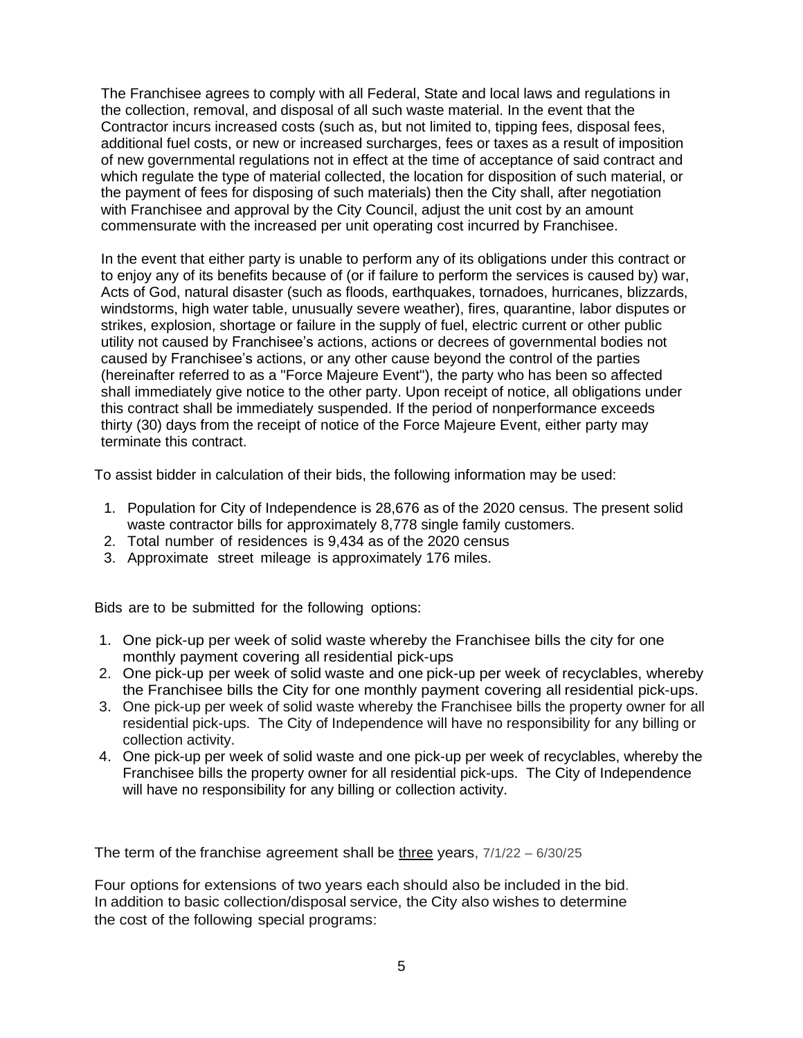The Franchisee agrees to comply with all Federal, State and local laws and regulations in the collection, removal, and disposal of all such waste material. In the event that the Contractor incurs increased costs (such as, but not limited to, tipping fees, disposal fees, additional fuel costs, or new or increased surcharges, fees or taxes as a result of imposition of new governmental regulations not in effect at the time of acceptance of said contract and which regulate the type of material collected, the location for disposition of such material, or the payment of fees for disposing of such materials) then the City shall, after negotiation with Franchisee and approval by the City Council, adjust the unit cost by an amount commensurate with the increased per unit operating cost incurred by Franchisee.

In the event that either party is unable to perform any of its obligations under this contract or to enjoy any of its benefits because of (or if failure to perform the services is caused by) war, Acts of God, natural disaster (such as floods, earthquakes, tornadoes, hurricanes, blizzards, windstorms, high water table, unusually severe weather), fires, quarantine, labor disputes or strikes, explosion, shortage or failure in the supply of fuel, electric current or other public utility not caused by Franchisee's actions, actions or decrees of governmental bodies not caused by Franchisee's actions, or any other cause beyond the control of the parties (hereinafter referred to as a "Force Majeure Event"), the party who has been so affected shall immediately give notice to the other party. Upon receipt of notice, all obligations under this contract shall be immediately suspended. If the period of nonperformance exceeds thirty (30) days from the receipt of notice of the Force Majeure Event, either party may terminate this contract.

To assist bidder in calculation of their bids, the following information may be used:

- 1. Population for City of Independence is 28,676 as of the 2020 census. The present solid waste contractor bills for approximately 8,778 single family customers.
- 2. Total number of residences is 9,434 as of the 2020 census
- 3. Approximate street mileage is approximately 176 miles.

Bids are to be submitted for the following options:

- 1. One pick-up per week of solid waste whereby the Franchisee bills the city for one monthly payment covering all residential pick-ups
- 2. One pick-up per week of solid waste and one pick-up per week of recyclables, whereby the Franchisee bills the City for one monthly payment covering all residential pick-ups.
- 3. One pick-up per week of solid waste whereby the Franchisee bills the property owner for all residential pick-ups. The City of Independence will have no responsibility for any billing or collection activity.
- 4. One pick-up per week of solid waste and one pick-up per week of recyclables, whereby the Franchisee bills the property owner for all residential pick-ups. The City of Independence will have no responsibility for any billing or collection activity.

The term of the franchise agreement shall be three years, 7/1/22 – 6/30/25

Four options for extensions of two years each should also be included in the bid. In addition to basic collection/disposal service, the City also wishes to determine the cost of the following special programs: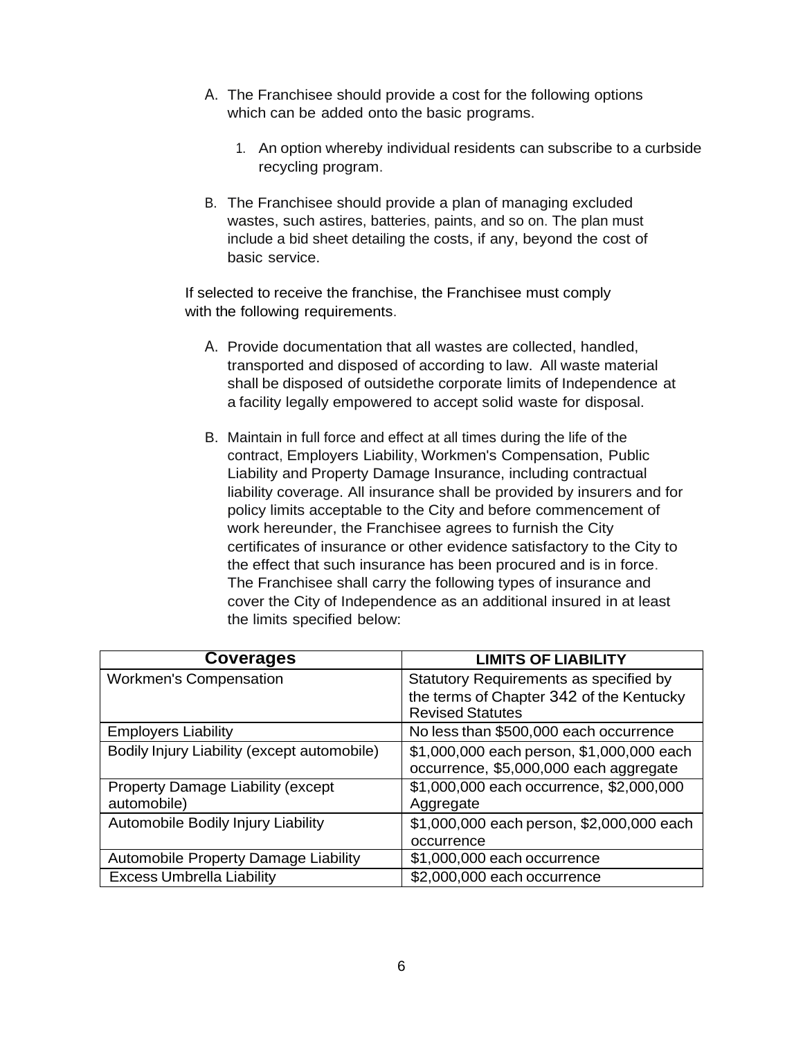- A. The Franchisee should provide a cost for the following options which can be added onto the basic programs.
	- 1. An option whereby individual residents can subscribe to a curbside recycling program.
- B. The Franchisee should provide a plan of managing excluded wastes, such astires, batteries, paints, and so on. The plan must include a bid sheet detailing the costs, if any, beyond the cost of basic service.

If selected to receive the franchise, the Franchisee must comply with the following requirements.

- A. Provide documentation that all wastes are collected, handled, transported and disposed of according to law. All waste material shall be disposed of outsidethe corporate limits of Independence at a facility legally empowered to accept solid waste for disposal.
- B. Maintain in full force and effect at all times during the life of the contract, Employers Liability, Workmen's Compensation, Public Liability and Property Damage Insurance, including contractual liability coverage. All insurance shall be provided by insurers and for policy limits acceptable to the City and before commencement of work hereunder, the Franchisee agrees to furnish the City certificates of insurance or other evidence satisfactory to the City to the effect that such insurance has been procured and is in force. The Franchisee shall carry the following types of insurance and cover the City of Independence as an additional insured in at least the limits specified below:

| <b>Coverages</b>                            | <b>LIMITS OF LIABILITY</b>                |
|---------------------------------------------|-------------------------------------------|
| <b>Workmen's Compensation</b>               | Statutory Requirements as specified by    |
|                                             | the terms of Chapter 342 of the Kentucky  |
|                                             | <b>Revised Statutes</b>                   |
| <b>Employers Liability</b>                  | No less than \$500,000 each occurrence    |
| Bodily Injury Liability (except automobile) | \$1,000,000 each person, \$1,000,000 each |
|                                             | occurrence, \$5,000,000 each aggregate    |
| Property Damage Liability (except           | \$1,000,000 each occurrence, \$2,000,000  |
| automobile)                                 | Aggregate                                 |
| Automobile Bodily Injury Liability          | \$1,000,000 each person, \$2,000,000 each |
|                                             | occurrence                                |
| Automobile Property Damage Liability        | \$1,000,000 each occurrence               |
| <b>Excess Umbrella Liability</b>            | \$2,000,000 each occurrence               |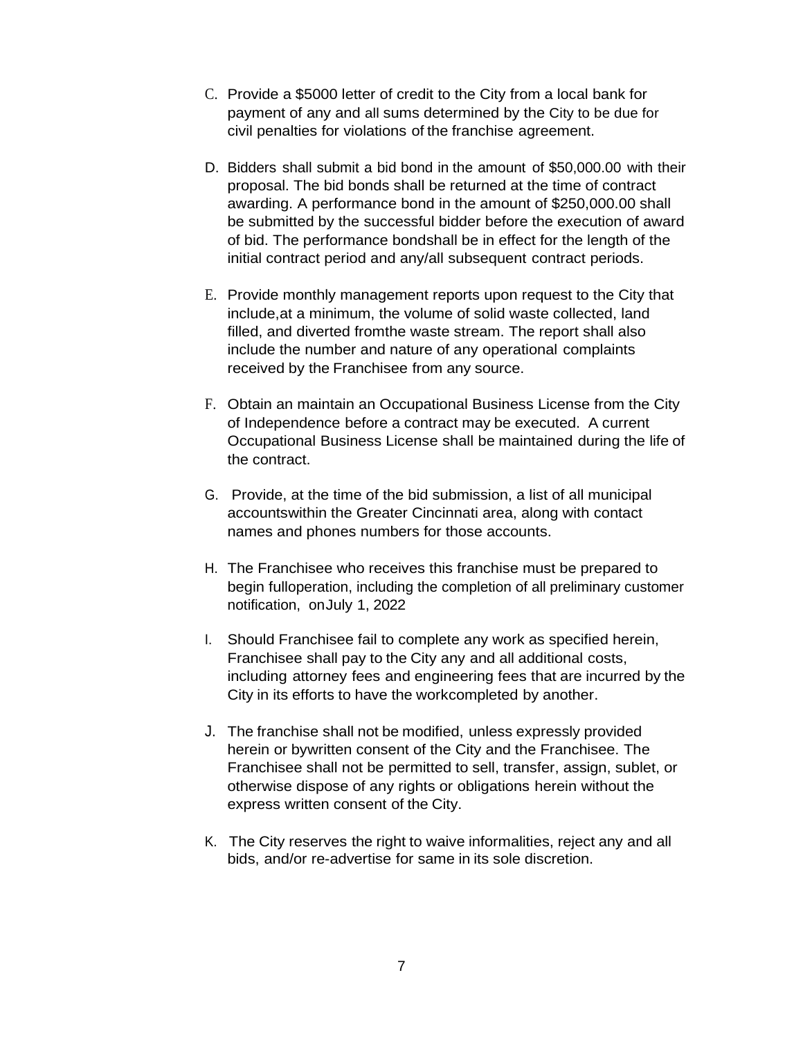- C. Provide a \$5000 letter of credit to the City from a local bank for payment of any and all sums determined by the City to be due for civil penalties for violations of the franchise agreement.
- D. Bidders shall submit a bid bond in the amount of \$50,000.00 with their proposal. The bid bonds shall be returned at the time of contract awarding. A performance bond in the amount of \$250,000.00 shall be submitted by the successful bidder before the execution of award of bid. The performance bondshall be in effect for the length of the initial contract period and any/all subsequent contract periods.
- E. Provide monthly management reports upon request to the City that include,at a minimum, the volume of solid waste collected, land filled, and diverted fromthe waste stream. The report shall also include the number and nature of any operational complaints received by the Franchisee from any source.
- F. Obtain an maintain an Occupational Business License from the City of Independence before a contract may be executed. A current Occupational Business License shall be maintained during the life of the contract.
- G. Provide, at the time of the bid submission, a list of all municipal accountswithin the Greater Cincinnati area, along with contact names and phones numbers for those accounts.
- H. The Franchisee who receives this franchise must be prepared to begin fulloperation, including the completion of all preliminary customer notification, on July 1, 2022
- I. Should Franchisee fail to complete any work as specified herein, Franchisee shall pay to the City any and all additional costs, including attorney fees and engineering fees that are incurred by the City in its efforts to have the workcompleted by another.
- J. The franchise shall not be modified, unless expressly provided herein or bywritten consent of the City and the Franchisee. The Franchisee shall not be permitted to sell, transfer, assign, sublet, or otherwise dispose of any rights or obligations herein without the express written consent of the City.
- K. The City reserves the right to waive informalities, reject any and all bids, and/or re-advertise for same in its sole discretion.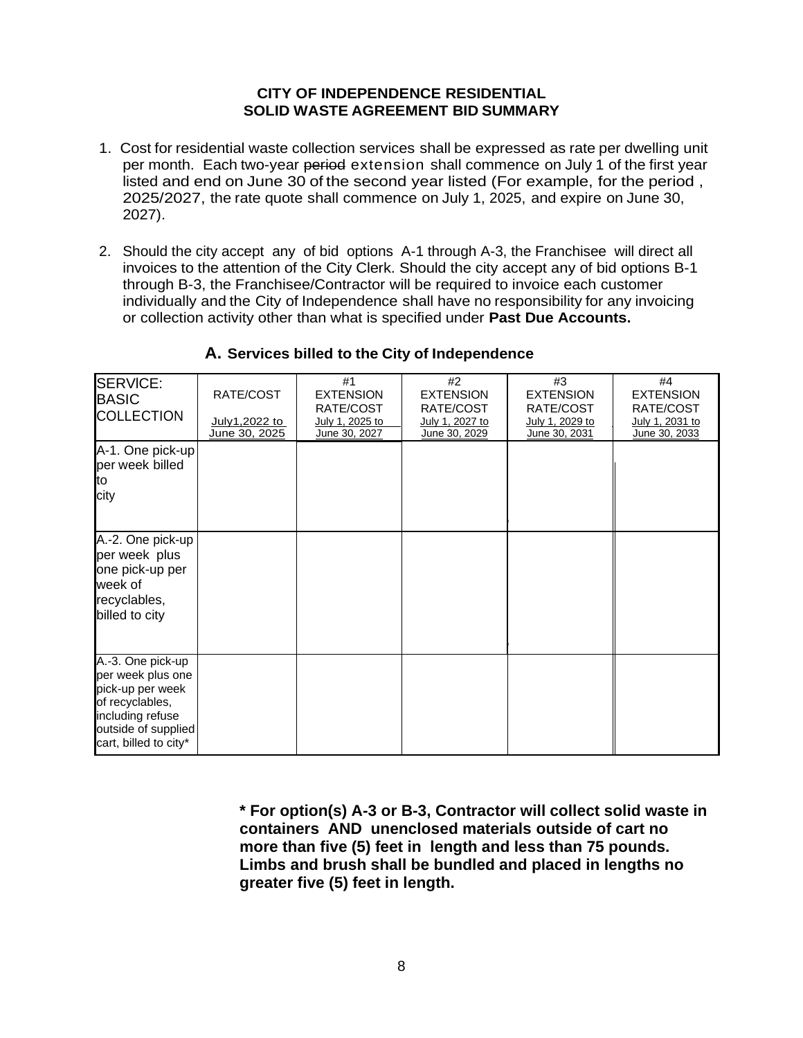### **CITY OF INDEPENDENCE RESIDENTIAL SOLID WASTE AGREEMENT BID SUMMARY**

- 1. Cost for residential waste collection services shall be expressed as rate per dwelling unit per month. Each two-year period extension shall commence on July 1 of the first year listed and end on June 30 of the second year listed (For example, for the period , 2025/2027, the rate quote shall commence on July 1, 2025, and expire on June 30, 2027).
- 2. Should the city accept any of bid options A-1 through A-3, the Franchisee will direct all invoices to the attention of the City Clerk. Should the city accept any of bid options B-1 through B-3, the Franchisee/Contractor will be required to invoice each customer individually and the City of Independence shall have no responsibility for any invoicing or collection activity other than what is specified under **Past Due Accounts.**

| SERVICE:<br><b>BASIC</b><br><b>COLLECTION</b>                                                                                                     | RATE/COST<br>July1,2022 to<br>June 30, 2025 | #1<br><b>EXTENSION</b><br>RATE/COST<br>July 1, 2025 to<br>June 30, 2027 | #2<br><b>EXTENSION</b><br>RATE/COST<br>July 1, 2027 to<br>June 30, 2029 | #3<br><b>EXTENSION</b><br>RATE/COST<br>July 1, 2029 to<br>June 30, 2031 | #4<br><b>EXTENSION</b><br>RATE/COST<br>July 1, 2031 to<br>June 30, 2033 |
|---------------------------------------------------------------------------------------------------------------------------------------------------|---------------------------------------------|-------------------------------------------------------------------------|-------------------------------------------------------------------------|-------------------------------------------------------------------------|-------------------------------------------------------------------------|
| A-1. One pick-up<br>per week billed<br>to<br>city                                                                                                 |                                             |                                                                         |                                                                         |                                                                         |                                                                         |
| A.-2. One pick-up<br>per week plus<br>one pick-up per<br>week of<br>recyclables,<br>billed to city                                                |                                             |                                                                         |                                                                         |                                                                         |                                                                         |
| A.-3. One pick-up<br>per week plus one<br>pick-up per week<br>of recyclables,<br>including refuse<br>outside of supplied<br>cart, billed to city* |                                             |                                                                         |                                                                         |                                                                         |                                                                         |

## **A. Services billed to the City of Independence**

**\* For option(s) A-3 or B-3, Contractor will collect solid waste in containers AND unenclosed materials outside of cart no more than five (5) feet in length and less than 75 pounds. Limbs and brush shall be bundled and placed in lengths no greater five (5) feet in length.**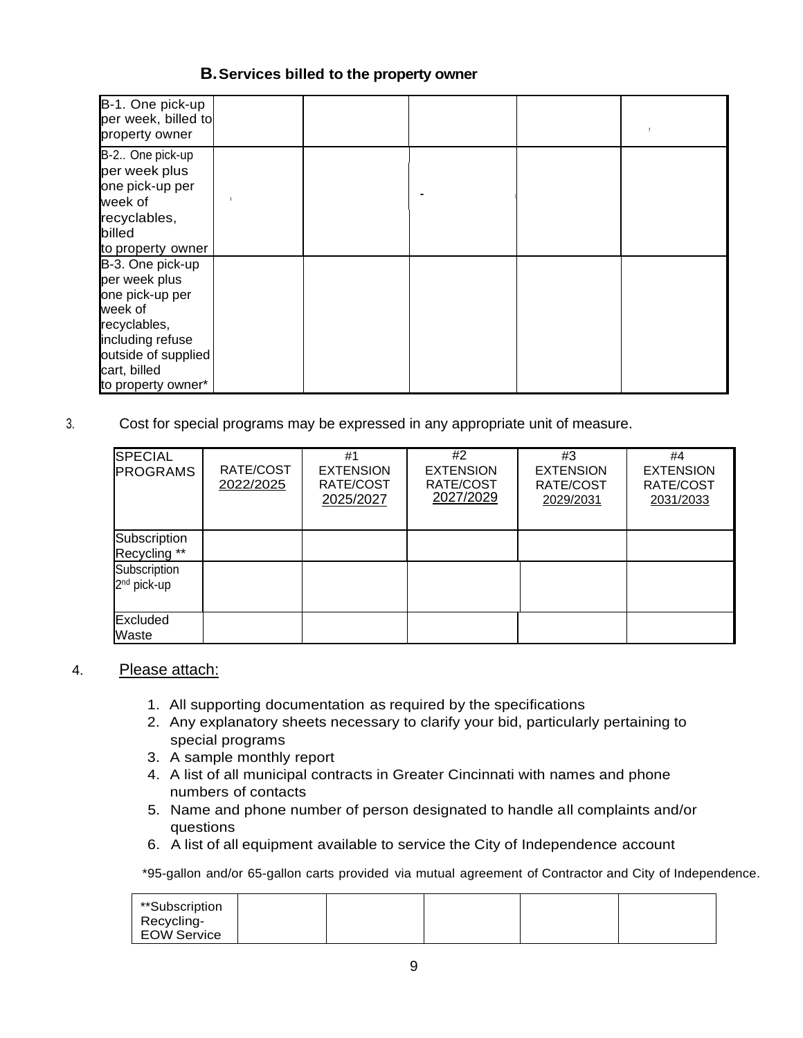### **B.Services billed to the property owner**

| B-1. One pick-up<br>per week, billed to<br>property owner                       |  |  |  |
|---------------------------------------------------------------------------------|--|--|--|
| B-2 One pick-up<br>per week plus<br>one pick-up per                             |  |  |  |
| week of<br>recyclables,<br>billed<br>to property owner                          |  |  |  |
| B-3. One pick-up<br>per week plus<br>one pick-up per<br>week of<br>recyclables, |  |  |  |
| including refuse<br>outside of supplied<br>cart, billed<br>to property owner*   |  |  |  |

3. Cost for special programs may be expressed in any appropriate unit of measure.

| <b>SPECIAL</b><br><b>PROGRAMS</b>       | RATE/COST<br>2022/2025 | #1<br><b>EXTENSION</b><br>RATE/COST<br>2025/2027 | #2<br><b>EXTENSION</b><br>RATE/COST<br>2027/2029 | #3<br><b>EXTENSION</b><br>RATE/COST<br>2029/2031 | #4<br><b>EXTENSION</b><br>RATE/COST<br>2031/2033 |
|-----------------------------------------|------------------------|--------------------------------------------------|--------------------------------------------------|--------------------------------------------------|--------------------------------------------------|
| Subscription<br>Recycling **            |                        |                                                  |                                                  |                                                  |                                                  |
| Subscription<br>2 <sup>nd</sup> pick-up |                        |                                                  |                                                  |                                                  |                                                  |
| Excluded<br>Waste                       |                        |                                                  |                                                  |                                                  |                                                  |

#### 4. Please attach:

- 1. All supporting documentation as required by the specifications
- 2. Any explanatory sheets necessary to clarify your bid, particularly pertaining to special programs
- 3. A sample monthly report
- 4. A list of all municipal contracts in Greater Cincinnati with names and phone numbers of contacts
- 5. Name and phone number of person designated to handle all complaints and/or questions
- 6. A list of all equipment available to service the City of Independence account

\*95-gallon and/or 65-gallon carts provided via mutual agreement of Contractor and City of Independence.

| **Subscription     |  |  |  |
|--------------------|--|--|--|
| Recycling-         |  |  |  |
| <b>EOW Service</b> |  |  |  |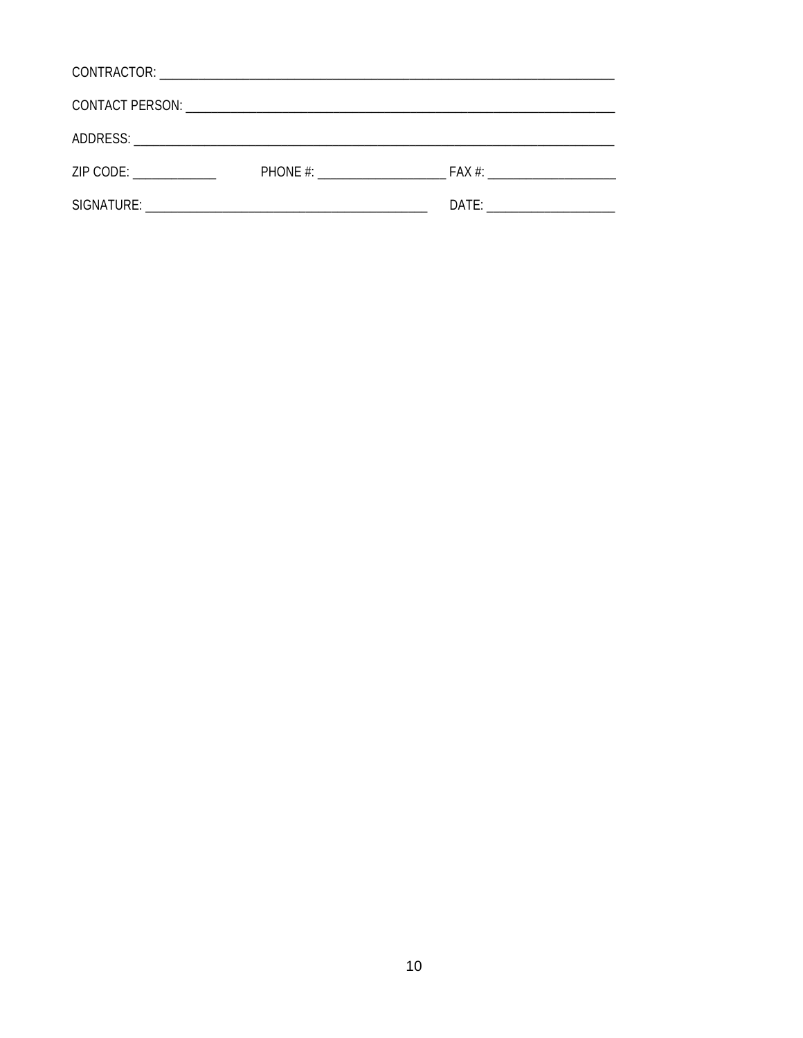| ZIP CODE: And the state of the state of the state of the state of the state of the state of the state of the s | PHONE #: | $FAX \#$                  |
|----------------------------------------------------------------------------------------------------------------|----------|---------------------------|
|                                                                                                                |          | DATE: ___________________ |